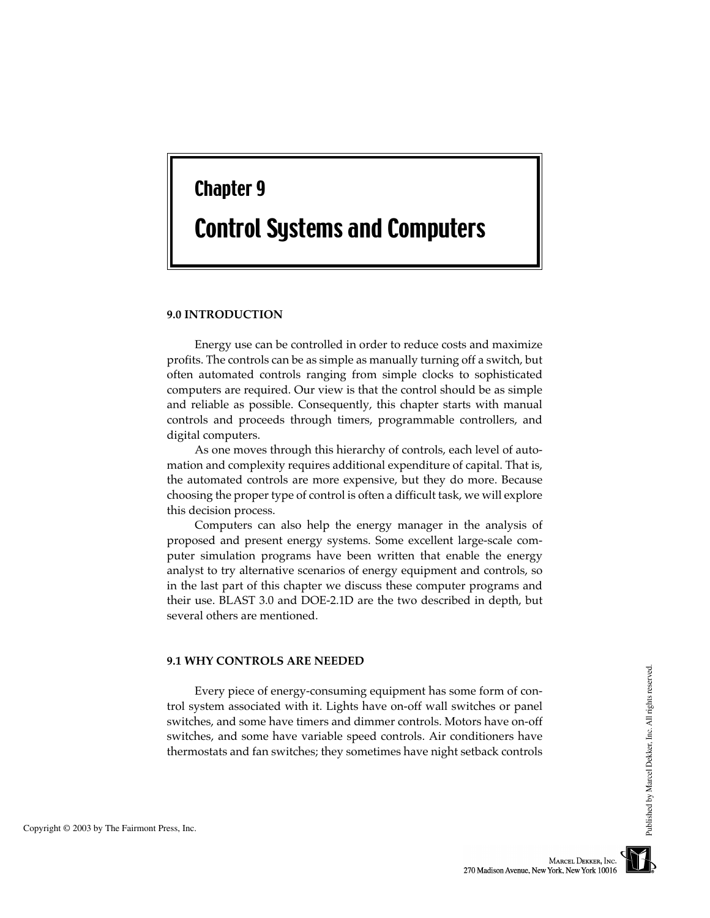## Chapter 9

# Control Systems and Computers

## **9.0 INTRODUCTION**

Energy use can be controlled in order to reduce costs and maximize profits. The controls can be as simple as manually turning off a switch, but often automated controls ranging from simple clocks to sophisticated computers are required. Our view is that the control should be as simple and reliable as possible. Consequently, this chapter starts with manual controls and proceeds through timers, programmable controllers, and digital computers.

As one moves through this hierarchy of controls, each level of automation and complexity requires additional expenditure of capital. That is, the automated controls are more expensive, but they do more. Because choosing the proper type of control is often a difficult task, we will explore this decision process.

Computers can also help the energy manager in the analysis of proposed and present energy systems. Some excellent large-scale computer simulation programs have been written that enable the energy analyst to try alternative scenarios of energy equipment and controls, so in the last part of this chapter we discuss these computer programs and their use. BLAST 3.0 and DOE-2.1D are the two described in depth, but several others are mentioned.

#### **9.1 WHY CONTROLS ARE NEEDED**

Every piece of energy-consuming equipment has some form of control system associated with it. Lights have on-off wall switches or panel switches, and some have timers and dimmer controls. Motors have on-off switches, and some have variable speed controls. Air conditioners have thermostats and fan switches; they sometimes have night setback controls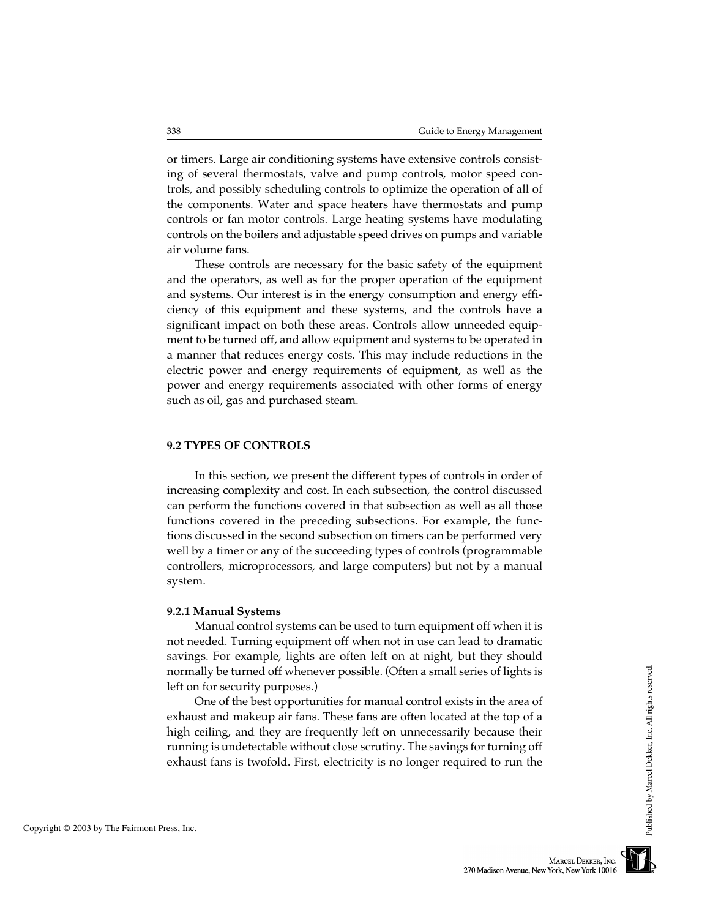or timers. Large air conditioning systems have extensive controls consisting of several thermostats, valve and pump controls, motor speed controls, and possibly scheduling controls to optimize the operation of all of the components. Water and space heaters have thermostats and pump controls or fan motor controls. Large heating systems have modulating controls on the boilers and adjustable speed drives on pumps and variable air volume fans.

These controls are necessary for the basic safety of the equipment and the operators, as well as for the proper operation of the equipment and systems. Our interest is in the energy consumption and energy efficiency of this equipment and these systems, and the controls have a significant impact on both these areas. Controls allow unneeded equipment to be turned off, and allow equipment and systems to be operated in a manner that reduces energy costs. This may include reductions in the electric power and energy requirements of equipment, as well as the power and energy requirements associated with other forms of energy such as oil, gas and purchased steam.

#### **9.2 TYPES OF CONTROLS**

In this section, we present the different types of controls in order of increasing complexity and cost. In each subsection, the control discussed can perform the functions covered in that subsection as well as all those functions covered in the preceding subsections. For example, the functions discussed in the second subsection on timers can be performed very well by a timer or any of the succeeding types of controls (programmable controllers, microprocessors, and large computers) but not by a manual system.

#### **9.2.1 Manual Systems**

Manual control systems can be used to turn equipment off when it is not needed. Turning equipment off when not in use can lead to dramatic savings. For example, lights are often left on at night, but they should normally be turned off whenever possible. (Often a small series of lights is left on for security purposes.)

One of the best opportunities for manual control exists in the area of exhaust and makeup air fans. These fans are often located at the top of a high ceiling, and they are frequently left on unnecessarily because their running is undetectable without close scrutiny. The savings for turning off exhaust fans is twofold. First, electricity is no longer required to run the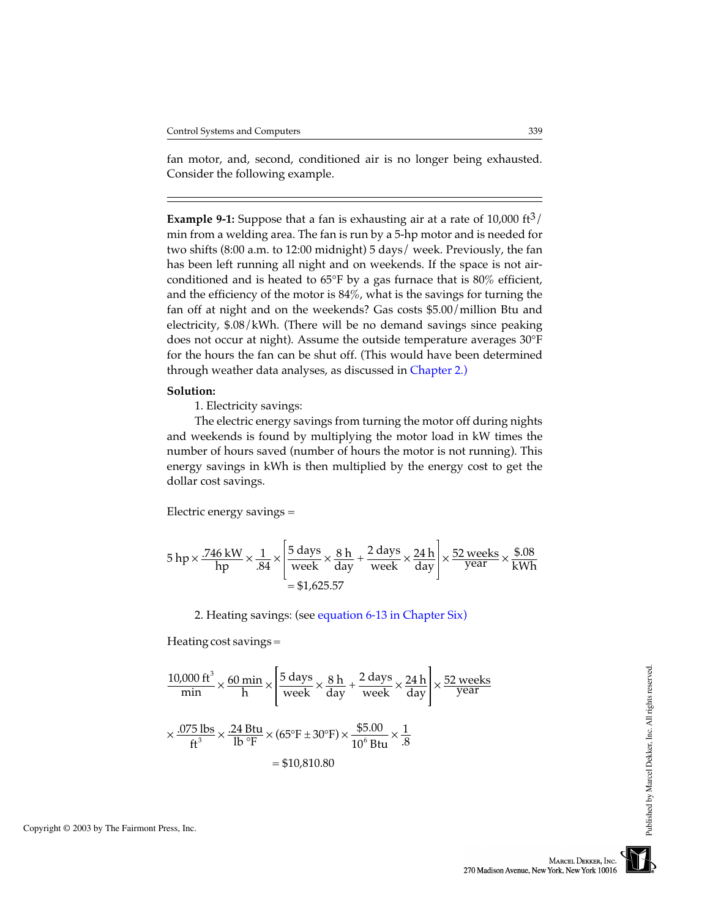fan motor, and, second, conditioned air is no longer being exhausted. Consider the following example.

**Example 9-1:** Suppose that a fan is exhausting air at a rate of 10,000  $\frac{12}{1}$ min from a welding area. The fan is run by a 5-hp motor and is needed for two shifts (8:00 a.m. to 12:00 midnight) 5 days/ week. Previously, the fan has been left running all night and on weekends. If the space is not airconditioned and is heated to  $65^{\circ}$ F by a gas furnace that is  $80\%$  efficient, and the efficiency of the motor is 84%, what is the savings for turning the fan off at night and on the weekends? Gas costs \$5.00/million Btu and electricity, \$.08/kWh. (There will be no demand savings since peaking does not occur at night). Assume the outside temperature averages 30°F for the hours the fan can be shut off. (This would have been determined through weather data analyses, as discussed in Chapter 2.)

#### **Solution:**

1. Electricity savings:

The electric energy savings from turning the motor off during nights and weekends is found by multiplying the motor load in kW times the number of hours saved (number of hours the motor is not running). This energy savings in kWh is then multiplied by the energy cost to get the dollar cost savings.

Electric energy savings =

$$
5\ hp \times \frac{.746\ kW}{hp} \times \frac{1}{.84} \times \left[ \frac{5\ days}{\text{week}} \times \frac{8\ h}{\text{day}} + \frac{2\ days}{\text{week}} \times \frac{24\ h}{\text{day}} \right] \times \frac{52\ weeks}{\text{year}} \times \frac{\$.08}{\text{kWh}}
$$

$$
= \$1,625.57
$$

2. Heating savings: (se[e equation 6-13 in Chapter Six\)](#page-5-0)

Heating cost savings  $=$ 

$$
\frac{10,000 \text{ ft}^3}{\text{min}} \times \frac{60 \text{ min}}{\text{h}} \times \left[ \frac{5 \text{ days}}{\text{week}} \times \frac{8 \text{ h}}{\text{day}} + \frac{2 \text{ days}}{\text{week}} \times \frac{24 \text{ h}}{\text{day}} \right] \times \frac{52 \text{ weeks}}{\text{year}}
$$

$$
\times \frac{.075 \text{ lbs}}{\text{ft}^3} \times \frac{.24 \text{ Btu}}{\text{lb }^\circ \text{F}} \times (65^\circ \text{F} \pm 30^\circ \text{F}) \times \frac{45.00}{10^6 \text{ Btu}} \times \frac{1}{.8}
$$

$$
= $10,810.80
$$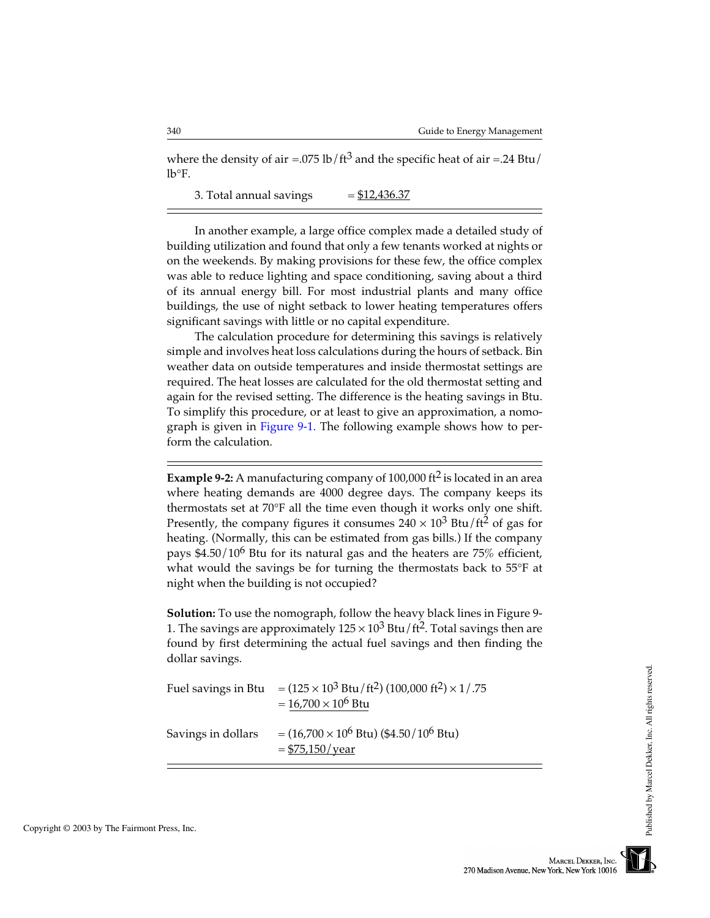where the density of air =.075 lb/ft<sup>3</sup> and the specific heat of air =.24 Btu/ lb°F.

3. Total annual savings  $= $12,436.37$ 

In another example, a large office complex made a detailed study of building utilization and found that only a few tenants worked at nights or on the weekends. By making provisions for these few, the office complex was able to reduce lighting and space conditioning, saving about a third of its annual energy bill. For most industrial plants and many office buildings, the use of night setback to lower heating temperatures offers significant savings with little or no capital expenditure.

The calculation procedure for determining this savings is relatively simple and involves heat loss calculations during the hours of setback. Bin weather data on outside temperatures and inside thermostat settings are required. The heat losses are calculated for the old thermostat setting and again for the revised setting. The difference is the heating savings in Btu. To simplify this procedure, or at least to give an approximation, a nomograph is given i[n Figure 9-1.](#page-4-0) The following example shows how to perform the calculation.

**Example 9-2:** A manufacturing company of 100,000 ft<sup>2</sup> is located in an area where heating demands are 4000 degree days. The company keeps its thermostats set at 70°F all the time even though it works only one shift. Presently, the company figures it consumes  $240 \times 10^3$  Btu/ft<sup>2</sup> of gas for heating. (Normally, this can be estimated from gas bills.) If the company pays  $$4.50/10<sup>6</sup>$  Btu for its natural gas and the heaters are 75% efficient, what would the savings be for turning the thermostats back to 55°F at night when the building is not occupied?

**Solution:** To use the nomograph, follow the heavy black lines in Figure 9- 1. The savings are approximately  $125 \times 10^3$  Btu/ft<sup>2</sup>. Total savings then are found by first determining the actual fuel savings and then finding the dollar savings.

Fuel savings in Btu =  $(125 \times 10^3 \text{ Btu}/\text{ft}^2)$  (100,000 ft<sup>2</sup>) × 1/.75  $= 16,700 \times 10^6$  Btu Savings in dollars =  $(16,700 \times 10^6 \text{ Btu})$  (\$4.50/10<sup>6</sup> Btu)  $= $75,150$ /year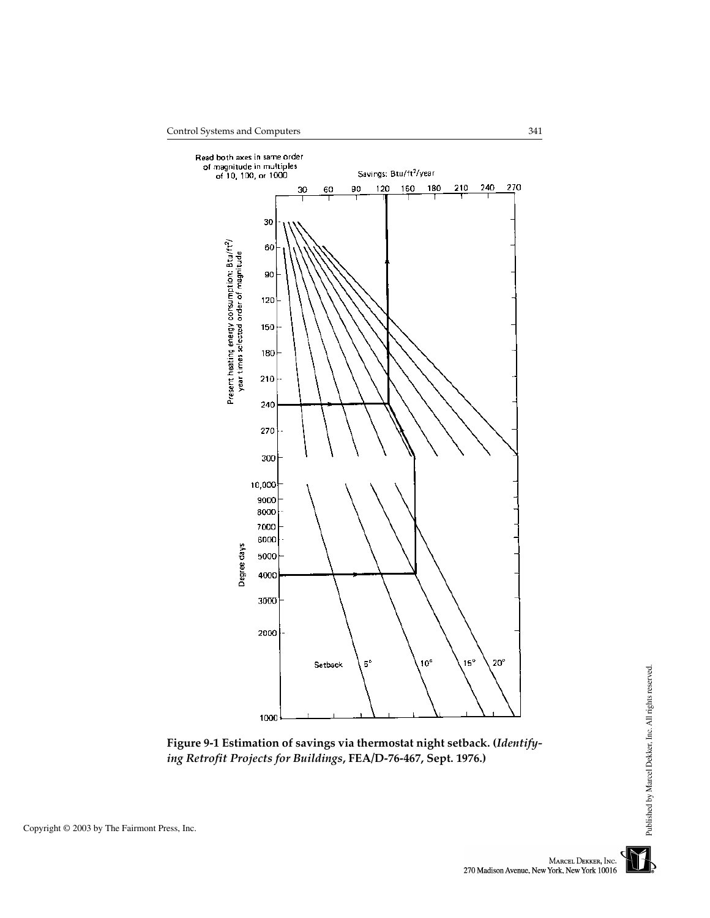<span id="page-4-0"></span>

**Figure 9-1 Estimation of savings via thermostat night setback. (***Identifying Retrofit Projects for Buildings***, FEA/D-76-467, Sept. 1976.)**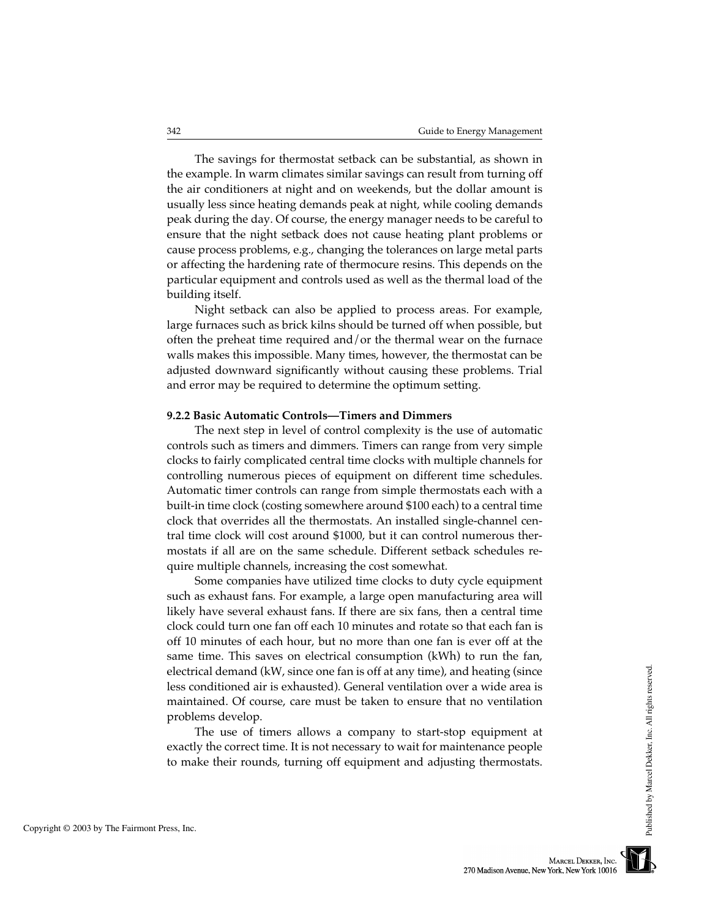<span id="page-5-0"></span>The savings for thermostat setback can be substantial, as shown in the example. In warm climates similar savings can result from turning off the air conditioners at night and on weekends, but the dollar amount is usually less since heating demands peak at night, while cooling demands peak during the day. Of course, the energy manager needs to be careful to ensure that the night setback does not cause heating plant problems or cause process problems, e.g., changing the tolerances on large metal parts or affecting the hardening rate of thermocure resins. This depends on the particular equipment and controls used as well as the thermal load of the building itself.

Night setback can also be applied to process areas. For example, large furnaces such as brick kilns should be turned off when possible, but often the preheat time required and/or the thermal wear on the furnace walls makes this impossible. Many times, however, the thermostat can be adjusted downward significantly without causing these problems. Trial and error may be required to determine the optimum setting.

#### **9.2.2 Basic Automatic Controls—Timers and Dimmers**

The next step in level of control complexity is the use of automatic controls such as timers and dimmers. Timers can range from very simple clocks to fairly complicated central time clocks with multiple channels for controlling numerous pieces of equipment on different time schedules. Automatic timer controls can range from simple thermostats each with a built-in time clock (costing somewhere around \$100 each) to a central time clock that overrides all the thermostats. An installed single-channel central time clock will cost around \$1000, but it can control numerous thermostats if all are on the same schedule. Different setback schedules require multiple channels, increasing the cost somewhat.

Some companies have utilized time clocks to duty cycle equipment such as exhaust fans. For example, a large open manufacturing area will likely have several exhaust fans. If there are six fans, then a central time clock could turn one fan off each 10 minutes and rotate so that each fan is off 10 minutes of each hour, but no more than one fan is ever off at the same time. This saves on electrical consumption (kWh) to run the fan, electrical demand (kW, since one fan is off at any time), and heating (since less conditioned air is exhausted). General ventilation over a wide area is maintained. Of course, care must be taken to ensure that no ventilation problems develop.

The use of timers allows a company to start-stop equipment at exactly the correct time. It is not necessary to wait for maintenance people to make their rounds, turning off equipment and adjusting thermostats.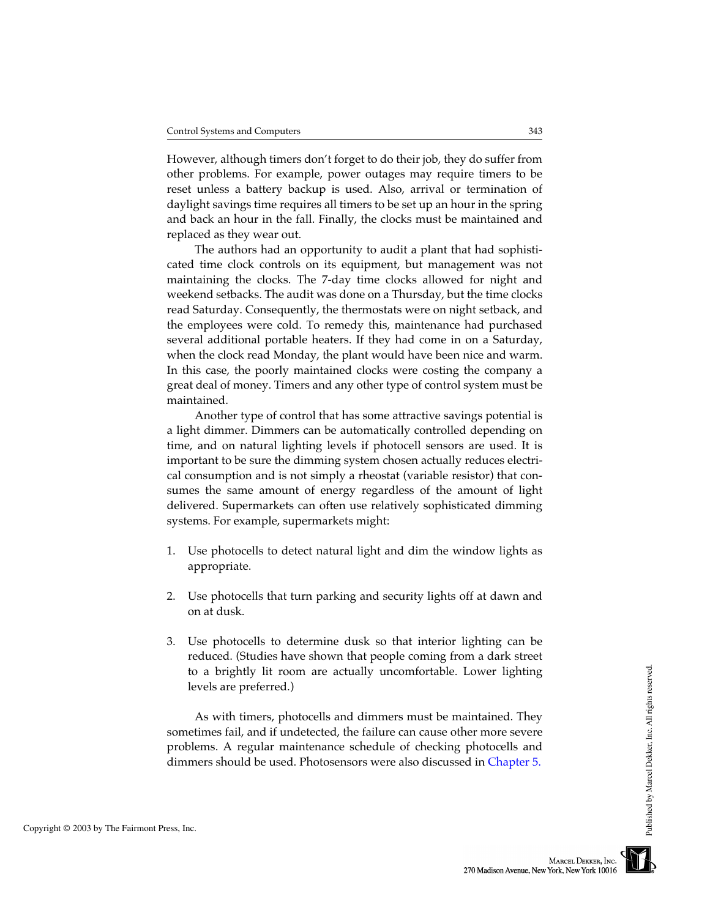However, although timers don't forget to do their job, they do suffer from other problems. For example, power outages may require timers to be reset unless a battery backup is used. Also, arrival or termination of daylight savings time requires all timers to be set up an hour in the spring and back an hour in the fall. Finally, the clocks must be maintained and replaced as they wear out.

The authors had an opportunity to audit a plant that had sophisticated time clock controls on its equipment, but management was not maintaining the clocks. The 7-day time clocks allowed for night and weekend setbacks. The audit was done on a Thursday, but the time clocks read Saturday. Consequently, the thermostats were on night setback, and the employees were cold. To remedy this, maintenance had purchased several additional portable heaters. If they had come in on a Saturday, when the clock read Monday, the plant would have been nice and warm. In this case, the poorly maintained clocks were costing the company a great deal of money. Timers and any other type of control system must be maintained.

Another type of control that has some attractive savings potential is a light dimmer. Dimmers can be automatically controlled depending on time, and on natural lighting levels if photocell sensors are used. It is important to be sure the dimming system chosen actually reduces electrical consumption and is not simply a rheostat (variable resistor) that consumes the same amount of energy regardless of the amount of light delivered. Supermarkets can often use relatively sophisticated dimming systems. For example, supermarkets might:

- 1. Use photocells to detect natural light and dim the window lights as appropriate.
- 2. Use photocells that turn parking and security lights off at dawn and on at dusk.
- 3. Use photocells to determine dusk so that interior lighting can be reduced. (Studies have shown that people coming from a dark street to a brightly lit room are actually uncomfortable. Lower lighting levels are preferred.)

As with timers, photocells and dimmers must be maintained. They sometimes fail, and if undetected, the failure can cause other more severe problems. A regular maintenance schedule of checking photocells and dimmers should be used. Photosensors were also discussed in Chapter 5.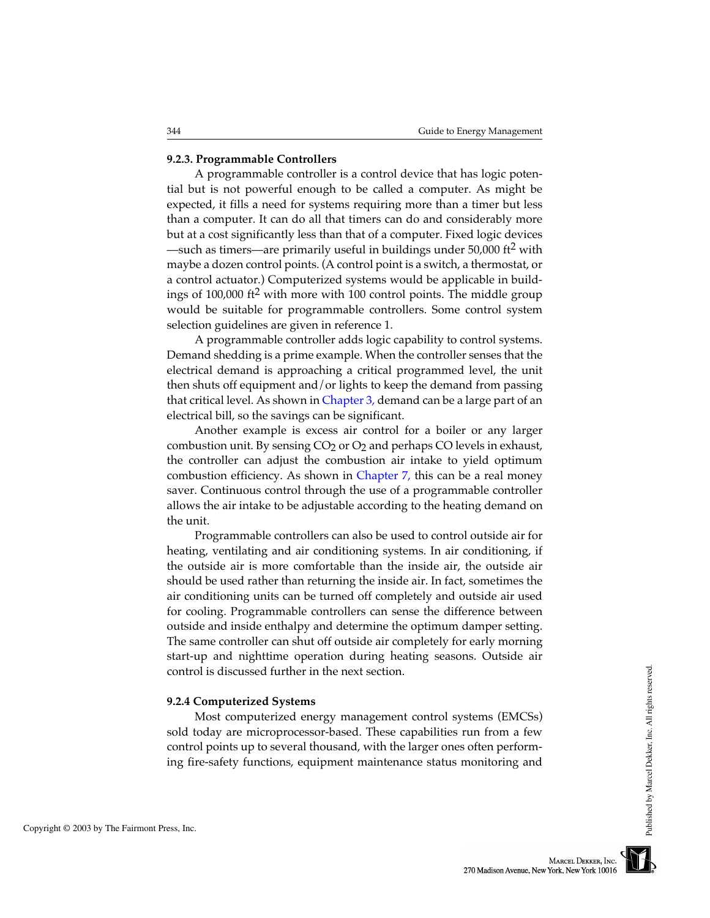#### **9.2.3. Programmable Controllers**

A programmable controller is a control device that has logic potential but is not powerful enough to be called a computer. As might be expected, it fills a need for systems requiring more than a timer but less than a computer. It can do all that timers can do and considerably more but at a cost significantly less than that of a computer. Fixed logic devices —such as timers—are primarily useful in buildings under  $50,000$  ft<sup>2</sup> with maybe a dozen control points. (A control point is a switch, a thermostat, or a control actuator.) Computerized systems would be applicable in buildings of 100,000 ft<sup>2</sup> with more with 100 control points. The middle group would be suitable for programmable controllers. Some control system selection guidelines are given in reference 1.

A programmable controller adds logic capability to control systems. Demand shedding is a prime example. When the controller senses that the electrical demand is approaching a critical programmed level, the unit then shuts off equipment and/or lights to keep the demand from passing that critical level. As shown in Chapter 3, demand can be a large part of an electrical bill, so the savings can be significant.

Another example is excess air control for a boiler or any larger combustion unit. By sensing  $CO<sub>2</sub>$  or  $O<sub>2</sub>$  and perhaps CO levels in exhaust, the controller can adjust the combustion air intake to yield optimum combustion efficiency. As shown in Chapter 7, this can be a real money saver. Continuous control through the use of a programmable controller allows the air intake to be adjustable according to the heating demand on the unit.

Programmable controllers can also be used to control outside air for heating, ventilating and air conditioning systems. In air conditioning, if the outside air is more comfortable than the inside air, the outside air should be used rather than returning the inside air. In fact, sometimes the air conditioning units can be turned off completely and outside air used for cooling. Programmable controllers can sense the difference between outside and inside enthalpy and determine the optimum damper setting. The same controller can shut off outside air completely for early morning start-up and nighttime operation during heating seasons. Outside air control is discussed further in the next section.

#### **9.2.4 Computerized Systems**

Most computerized energy management control systems (EMCSs) sold today are microprocessor-based. These capabilities run from a few control points up to several thousand, with the larger ones often performing fire-safety functions, equipment maintenance status monitoring and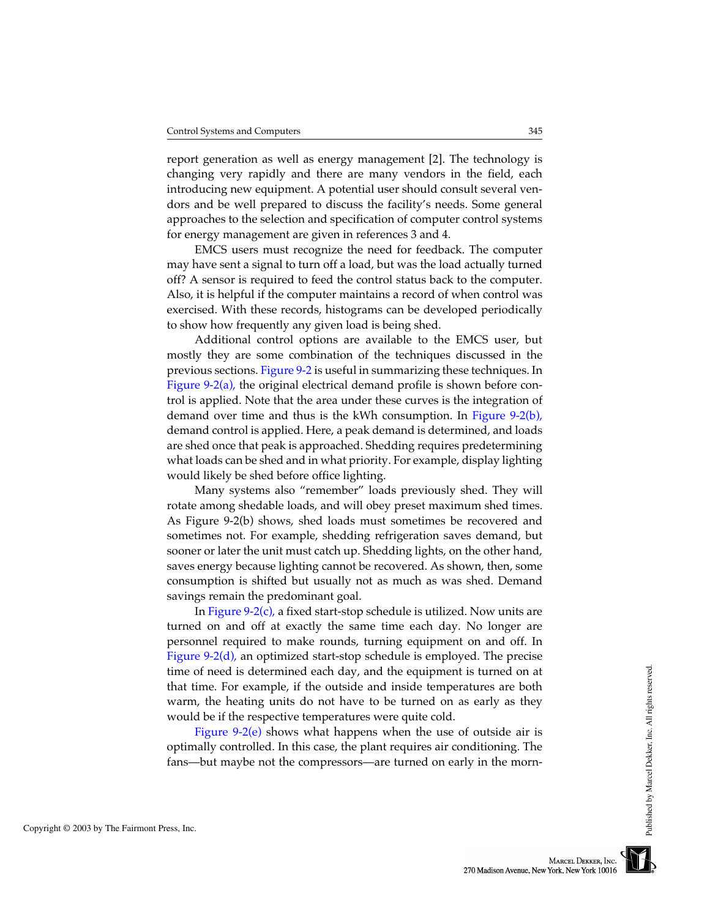report generation as well as energy management [2]. The technology is changing very rapidly and there are many vendors in the field, each introducing new equipment. A potential user should consult several vendors and be well prepared to discuss the facility's needs. Some general approaches to the selection and specification of computer control systems for energy management are given in references 3 and 4.

EMCS users must recognize the need for feedback. The computer may have sent a signal to turn off a load, but was the load actually turned off? A sensor is required to feed the control status back to the computer. Also, it is helpful if the computer maintains a record of when control was exercised. With these records, histograms can be developed periodically to show how frequently any given load is being shed.

Additional control options are available to the EMCS user, but mostly they are some combination of the techniques discussed in the previous sections[. Figure 9-2](#page-9-0) is useful in summarizing these techniques. In [Figure 9-2\(a\),](#page-9-0) the original electrical demand profile is shown before control is applied. Note that the area under these curves is the integration of demand over time and thus is the kWh consumption. In [Figure 9-2\(b\),](#page-9-0) demand control is applied. Here, a peak demand is determined, and loads are shed once that peak is approached. Shedding requires predetermining what loads can be shed and in what priority. For example, display lighting would likely be shed before office lighting.

Many systems also "remember" loads previously shed. They will rotate among shedable loads, and will obey preset maximum shed times. As Figure 9-2(b) shows, shed loads must sometimes be recovered and sometimes not. For example, shedding refrigeration saves demand, but sooner or later the unit must catch up. Shedding lights, on the other hand, saves energy because lighting cannot be recovered. As shown, then, some consumption is shifted but usually not as much as was shed. Demand savings remain the predominant goal.

In Figure 9-2 $(c)$ , a fixed start-stop schedule is utilized. Now units are turned on and off at exactly the same time each day. No longer are personnel required to make rounds, turning equipment on and off. In [Figure 9-2\(d\),](#page-9-0) an optimized start-stop schedule is employed. The precise time of need is determined each day, and the equipment is turned on at that time. For example, if the outside and inside temperatures are both warm, the heating units do not have to be turned on as early as they would be if the respective temperatures were quite cold.

[Figure 9-2\(e\)](#page-9-0) shows what happens when the use of outside air is optimally controlled. In this case, the plant requires air conditioning. The fans—but maybe not the compressors—are turned on early in the morn-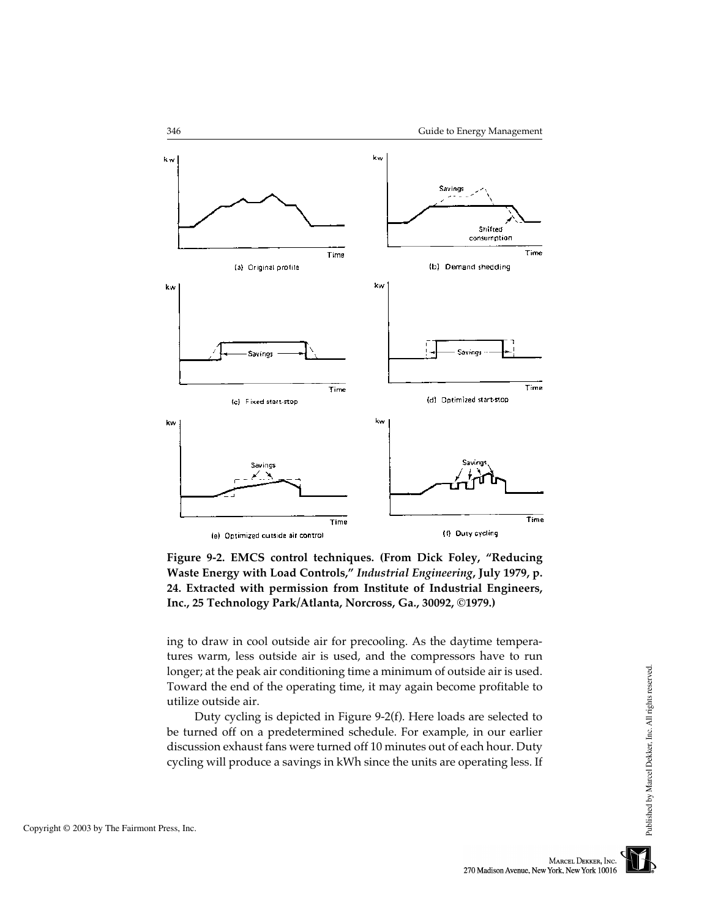<span id="page-9-0"></span>

**Figure 9-2. EMCS control techniques. (From Dick Foley, "Reducing Waste Energy with Load Controls,"** *Industrial Engineering***, July 1979, p. 24. Extracted with permission from Institute of Industrial Engineers, Inc., 25 Technology Park/Atlanta, Norcross, Ga., 30092, ©1979.)**

ing to draw in cool outside air for precooling. As the daytime temperatures warm, less outside air is used, and the compressors have to run longer; at the peak air conditioning time a minimum of outside air is used. Toward the end of the operating time, it may again become profitable to utilize outside air.

Duty cycling is depicted in Figure 9-2(f). Here loads are selected to be turned off on a predetermined schedule. For example, in our earlier discussion exhaust fans were turned off 10 minutes out of each hour. Duty cycling will produce a savings in kWh since the units are operating less. If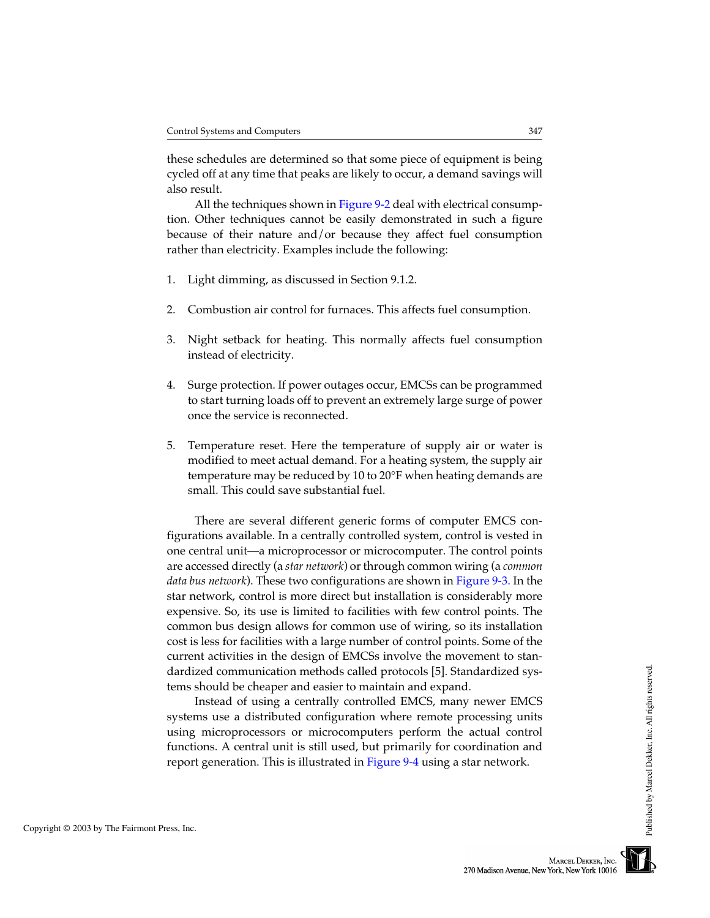these schedules are determined so that some piece of equipment is being cycled off at any time that peaks are likely to occur, a demand savings will also result.

All the techniques shown i[n Figure 9-2](#page-9-0) deal with electrical consumption. Other techniques cannot be easily demonstrated in such a figure because of their nature and/or because they affect fuel consumption rather than electricity. Examples include the following:

- 1. Light dimming, as discussed in Section 9.1.2.
- 2. Combustion air control for furnaces. This affects fuel consumption.
- 3. Night setback for heating. This normally affects fuel consumption instead of electricity.
- 4. Surge protection. If power outages occur, EMCSs can be programmed to start turning loads off to prevent an extremely large surge of power once the service is reconnected.
- 5. Temperature reset. Here the temperature of supply air or water is modified to meet actual demand. For a heating system, the supply air temperature may be reduced by 10 to 20°F when heating demands are small. This could save substantial fuel.

There are several different generic forms of computer EMCS configurations available. In a centrally controlled system, control is vested in one central unit—a microprocessor or microcomputer. The control points are accessed directly (a *star network*) or through common wiring (a *common data bus network*). These two configurations are shown i[n Figure 9-3.](#page-11-0) In the star network, control is more direct but installation is considerably more expensive. So, its use is limited to facilities with few control points. The common bus design allows for common use of wiring, so its installation cost is less for facilities with a large number of control points. Some of the current activities in the design of EMCSs involve the movement to standardized communication methods called protocols [5]. Standardized systems should be cheaper and easier to maintain and expand.

Instead of using a centrally controlled EMCS, many newer EMCS systems use a distributed configuration where remote processing units using microprocessors or microcomputers perform the actual control functions. A central unit is still used, but primarily for coordination and report generation. This is illustrated i[n Figure 9-4 u](#page-12-0)sing a star network.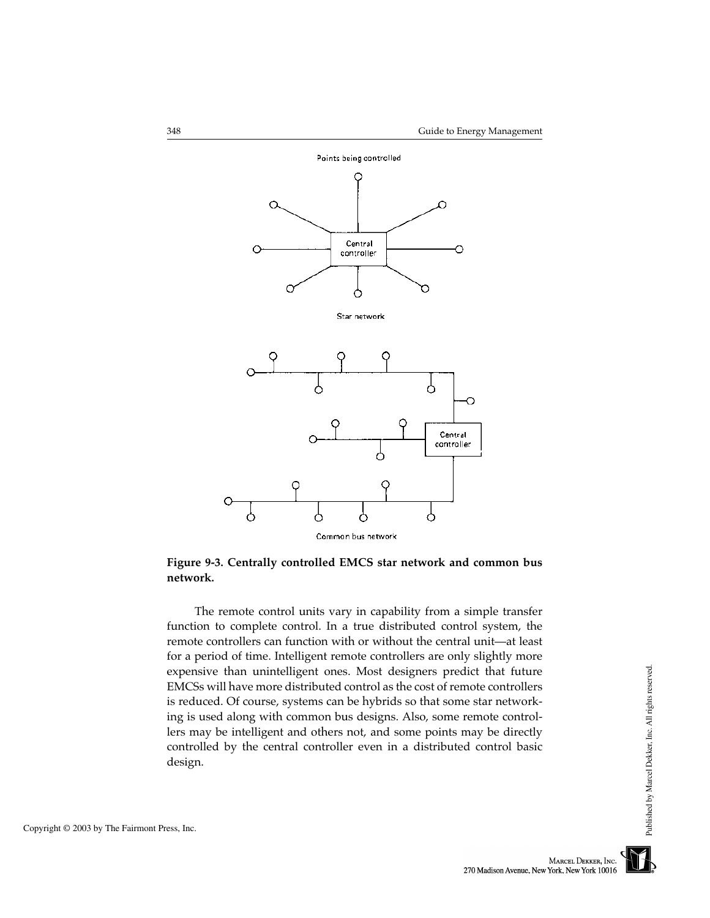

<span id="page-11-0"></span>

Star network



Common bus network

## **Figure 9-3. Centrally controlled EMCS star network and common bus network.**

The remote control units vary in capability from a simple transfer function to complete control. In a true distributed control system, the remote controllers can function with or without the central unit—at least for a period of time. Intelligent remote controllers are only slightly more expensive than unintelligent ones. Most designers predict that future EMCSs will have more distributed control as the cost of remote controllers is reduced. Of course, systems can be hybrids so that some star networking is used along with common bus designs. Also, some remote controllers may be intelligent and others not, and some points may be directly controlled by the central controller even in a distributed control basic design.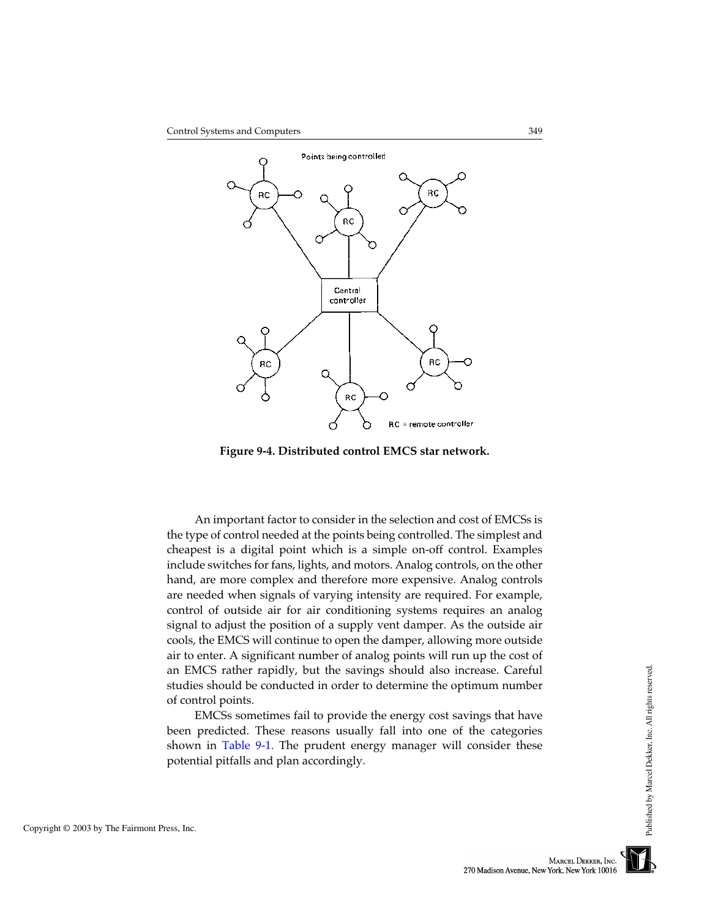<span id="page-12-0"></span>

**Figure 9-4. Distributed control EMCS star network.**

An important factor to consider in the selection and cost of EMCSs is the type of control needed at the points being controlled. The simplest and cheapest is a digital point which is a simple on-off control. Examples include switches for fans, lights, and motors. Analog controls, on the other hand, are more complex and therefore more expensive. Analog controls are needed when signals of varying intensity are required. For example, control of outside air for air conditioning systems requires an analog signal to adjust the position of a supply vent damper. As the outside air cools, the EMCS will continue to open the damper, allowing more outside air to enter. A significant number of analog points will run up the cost of an EMCS rather rapidly, but the savings should also increase. Careful studies should be conducted in order to determine the optimum number of control points.

EMCSs sometimes fail to provide the energy cost savings that have been predicted. These reasons usually fall into one of the categories shown in [Table 9-1.](#page-13-0) The prudent energy manager will consider these potential pitfalls and plan accordingly.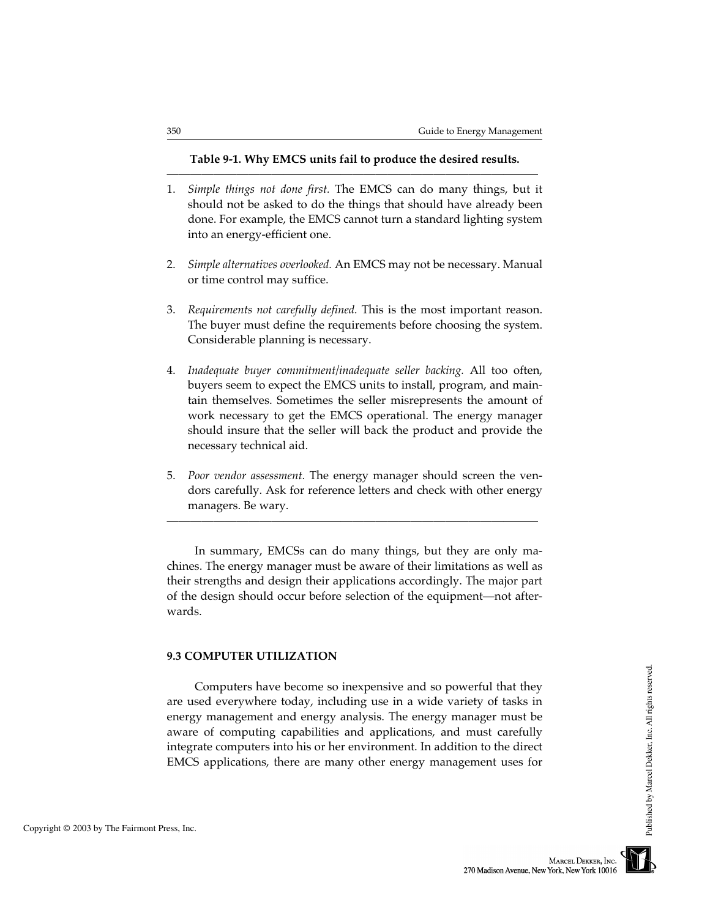## <span id="page-13-0"></span>**Table 9-1. Why EMCS units fail to produce the desired results.** ————————————————————————————————

- 1. *Simple things not done first.* The EMCS can do many things, but it should not be asked to do the things that should have already been done. For example, the EMCS cannot turn a standard lighting system into an energy-efficient one.
- 2. *Simple alternatives overlooked.* An EMCS may not be necessary. Manual or time control may suffice.
- 3. *Requirements not carefully defined.* This is the most important reason. The buyer must define the requirements before choosing the system. Considerable planning is necessary.
- 4. *Inadequate buyer commitment/inadequate seller backing.* All too often, buyers seem to expect the EMCS units to install, program, and maintain themselves. Sometimes the seller misrepresents the amount of work necessary to get the EMCS operational. The energy manager should insure that the seller will back the product and provide the necessary technical aid.
- 5. *Poor vendor assessment.* The energy manager should screen the vendors carefully. Ask for reference letters and check with other energy managers. Be wary.

————————————————————————————————

In summary, EMCSs can do many things, but they are only machines. The energy manager must be aware of their limitations as well as their strengths and design their applications accordingly. The major part of the design should occur before selection of the equipment—not afterwards.

## **9.3 COMPUTER UTILIZATION**

Computers have become so inexpensive and so powerful that they are used everywhere today, including use in a wide variety of tasks in energy management and energy analysis. The energy manager must be aware of computing capabilities and applications, and must carefully integrate computers into his or her environment. In addition to the direct EMCS applications, there are many other energy management uses for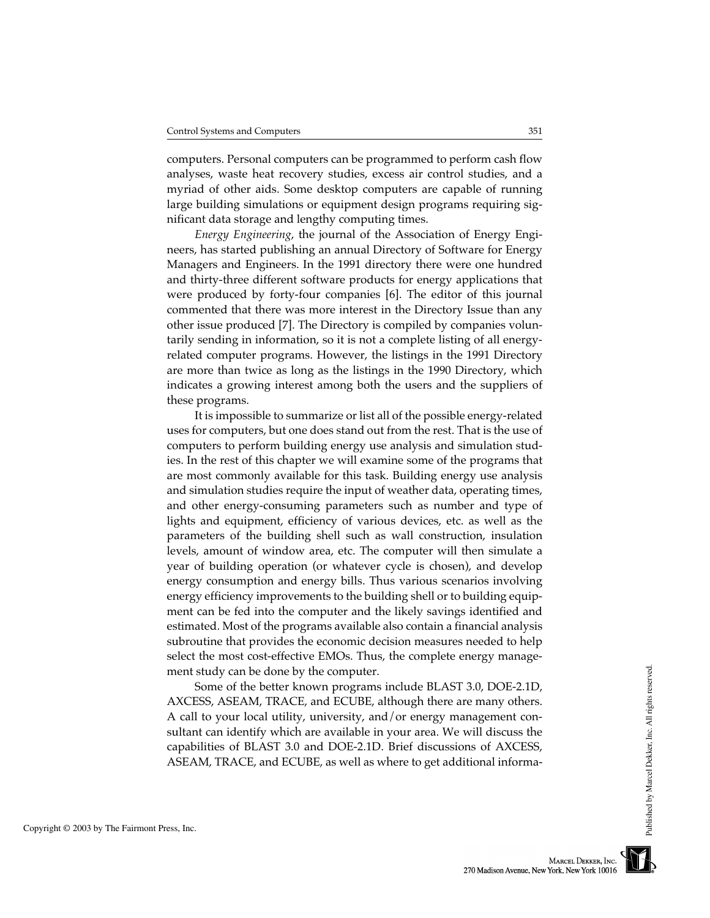computers. Personal computers can be programmed to perform cash flow analyses, waste heat recovery studies, excess air control studies, and a myriad of other aids. Some desktop computers are capable of running large building simulations or equipment design programs requiring significant data storage and lengthy computing times.

*Energy Engineering*, the journal of the Association of Energy Engineers, has started publishing an annual Directory of Software for Energy Managers and Engineers. In the 1991 directory there were one hundred and thirty-three different software products for energy applications that were produced by forty-four companies [6]. The editor of this journal commented that there was more interest in the Directory Issue than any other issue produced [7]. The Directory is compiled by companies voluntarily sending in information, so it is not a complete listing of all energyrelated computer programs. However, the listings in the 1991 Directory are more than twice as long as the listings in the 1990 Directory, which indicates a growing interest among both the users and the suppliers of these programs.

It is impossible to summarize or list all of the possible energy-related uses for computers, but one does stand out from the rest. That is the use of computers to perform building energy use analysis and simulation studies. In the rest of this chapter we will examine some of the programs that are most commonly available for this task. Building energy use analysis and simulation studies require the input of weather data, operating times, and other energy-consuming parameters such as number and type of lights and equipment, efficiency of various devices, etc. as well as the parameters of the building shell such as wall construction, insulation levels, amount of window area, etc. The computer will then simulate a year of building operation (or whatever cycle is chosen), and develop energy consumption and energy bills. Thus various scenarios involving energy efficiency improvements to the building shell or to building equipment can be fed into the computer and the likely savings identified and estimated. Most of the programs available also contain a financial analysis subroutine that provides the economic decision measures needed to help select the most cost-effective EMOs. Thus, the complete energy management study can be done by the computer.

Some of the better known programs include BLAST 3.0, DOE-2.1D, AXCESS, ASEAM, TRACE, and ECUBE, although there are many others. A call to your local utility, university, and/or energy management consultant can identify which are available in your area. We will discuss the capabilities of BLAST 3.0 and DOE-2.1D. Brief discussions of AXCESS, ASEAM, TRACE, and ECUBE, as well as where to get additional informa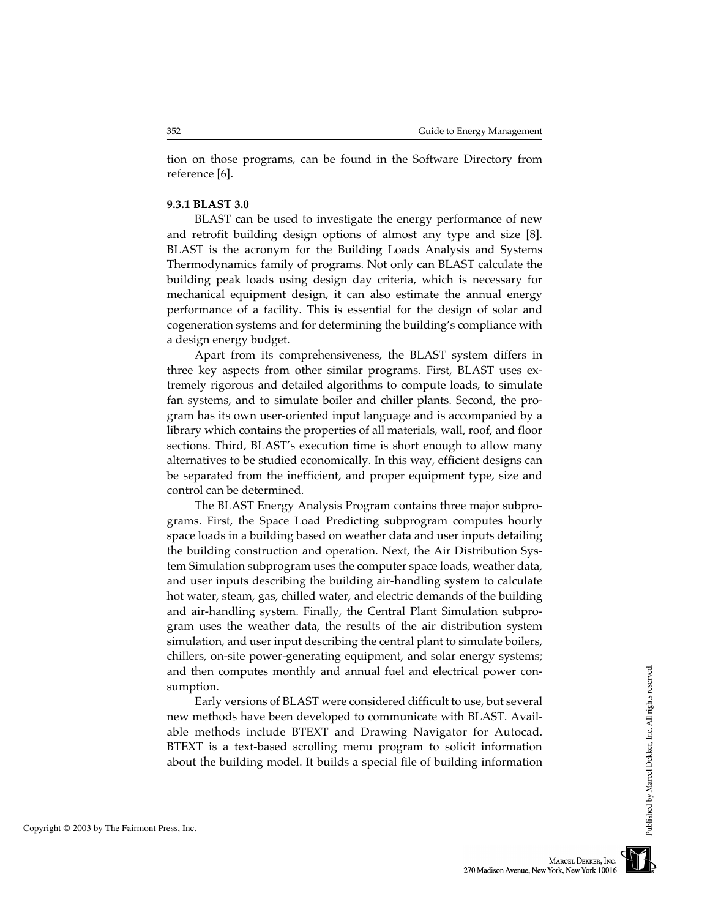tion on those programs, can be found in the Software Directory from reference [6].

#### **9.3.1 BLAST 3.0**

BLAST can be used to investigate the energy performance of new and retrofit building design options of almost any type and size [8]. BLAST is the acronym for the Building Loads Analysis and Systems Thermodynamics family of programs. Not only can BLAST calculate the building peak loads using design day criteria, which is necessary for mechanical equipment design, it can also estimate the annual energy performance of a facility. This is essential for the design of solar and cogeneration systems and for determining the building's compliance with a design energy budget.

Apart from its comprehensiveness, the BLAST system differs in three key aspects from other similar programs. First, BLAST uses extremely rigorous and detailed algorithms to compute loads, to simulate fan systems, and to simulate boiler and chiller plants. Second, the program has its own user-oriented input language and is accompanied by a library which contains the properties of all materials, wall, roof, and floor sections. Third, BLAST's execution time is short enough to allow many alternatives to be studied economically. In this way, efficient designs can be separated from the inefficient, and proper equipment type, size and control can be determined.

The BLAST Energy Analysis Program contains three major subprograms. First, the Space Load Predicting subprogram computes hourly space loads in a building based on weather data and user inputs detailing the building construction and operation. Next, the Air Distribution System Simulation subprogram uses the computer space loads, weather data, and user inputs describing the building air-handling system to calculate hot water, steam, gas, chilled water, and electric demands of the building and air-handling system. Finally, the Central Plant Simulation subprogram uses the weather data, the results of the air distribution system simulation, and user input describing the central plant to simulate boilers, chillers, on-site power-generating equipment, and solar energy systems; and then computes monthly and annual fuel and electrical power consumption.

Early versions of BLAST were considered difficult to use, but several new methods have been developed to communicate with BLAST. Available methods include BTEXT and Drawing Navigator for Autocad. BTEXT is a text-based scrolling menu program to solicit information about the building model. It builds a special file of building information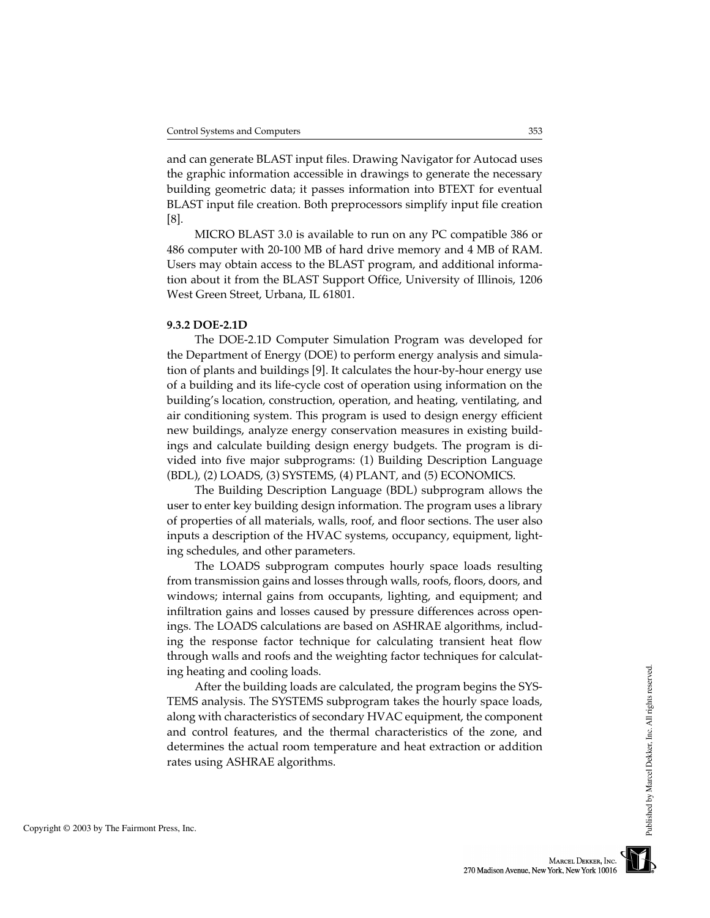and can generate BLAST input files. Drawing Navigator for Autocad uses the graphic information accessible in drawings to generate the necessary building geometric data; it passes information into BTEXT for eventual BLAST input file creation. Both preprocessors simplify input file creation [8].

MICRO BLAST 3.0 is available to run on any PC compatible 386 or 486 computer with 20-100 MB of hard drive memory and 4 MB of RAM. Users may obtain access to the BLAST program, and additional information about it from the BLAST Support Office, University of Illinois, 1206 West Green Street, Urbana, IL 61801.

#### **9.3.2 DOE-2.1D**

The DOE-2.1D Computer Simulation Program was developed for the Department of Energy (DOE) to perform energy analysis and simulation of plants and buildings [9]. It calculates the hour-by-hour energy use of a building and its life-cycle cost of operation using information on the building's location, construction, operation, and heating, ventilating, and air conditioning system. This program is used to design energy efficient new buildings, analyze energy conservation measures in existing buildings and calculate building design energy budgets. The program is divided into five major subprograms: (1) Building Description Language (BDL), (2) LOADS, (3) SYSTEMS, (4) PLANT, and (5) ECONOMICS.

The Building Description Language (BDL) subprogram allows the user to enter key building design information. The program uses a library of properties of all materials, walls, roof, and floor sections. The user also inputs a description of the HVAC systems, occupancy, equipment, lighting schedules, and other parameters.

The LOADS subprogram computes hourly space loads resulting from transmission gains and losses through walls, roofs, floors, doors, and windows; internal gains from occupants, lighting, and equipment; and infiltration gains and losses caused by pressure differences across openings. The LOADS calculations are based on ASHRAE algorithms, including the response factor technique for calculating transient heat flow through walls and roofs and the weighting factor techniques for calculating heating and cooling loads.

After the building loads are calculated, the program begins the SYS-TEMS analysis. The SYSTEMS subprogram takes the hourly space loads, along with characteristics of secondary HVAC equipment, the component and control features, and the thermal characteristics of the zone, and determines the actual room temperature and heat extraction or addition rates using ASHRAE algorithms.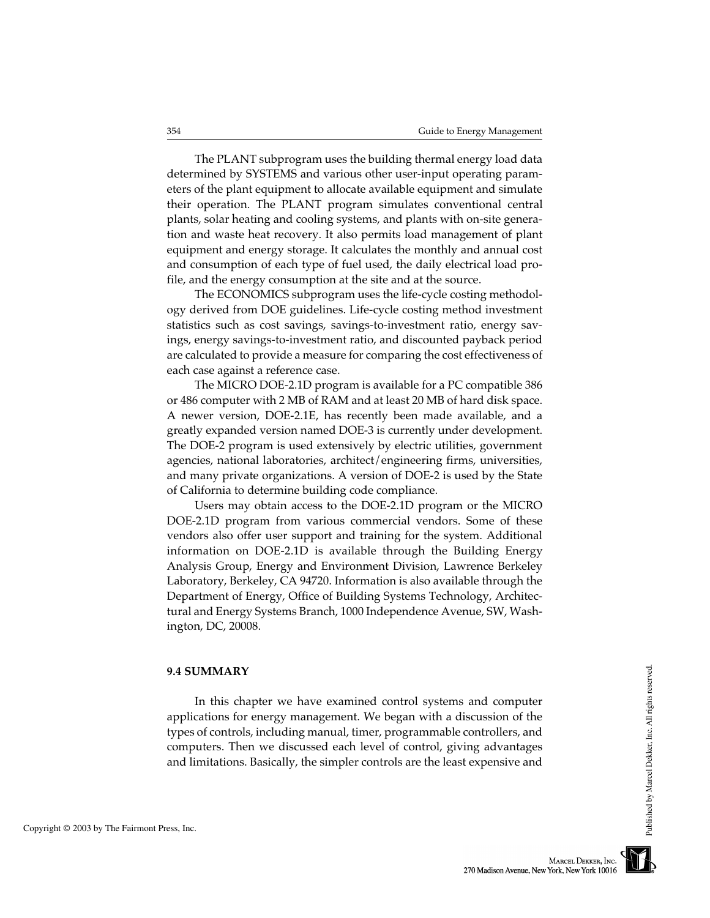The PLANT subprogram uses the building thermal energy load data determined by SYSTEMS and various other user-input operating parameters of the plant equipment to allocate available equipment and simulate their operation. The PLANT program simulates conventional central plants, solar heating and cooling systems, and plants with on-site generation and waste heat recovery. It also permits load management of plant equipment and energy storage. It calculates the monthly and annual cost and consumption of each type of fuel used, the daily electrical load profile, and the energy consumption at the site and at the source.

The ECONOMICS subprogram uses the life-cycle costing methodology derived from DOE guidelines. Life-cycle costing method investment statistics such as cost savings, savings-to-investment ratio, energy savings, energy savings-to-investment ratio, and discounted payback period are calculated to provide a measure for comparing the cost effectiveness of each case against a reference case.

The MICRO DOE-2.1D program is available for a PC compatible 386 or 486 computer with 2 MB of RAM and at least 20 MB of hard disk space. A newer version, DOE-2.1E, has recently been made available, and a greatly expanded version named DOE-3 is currently under development. The DOE-2 program is used extensively by electric utilities, government agencies, national laboratories, architect/engineering firms, universities, and many private organizations. A version of DOE-2 is used by the State of California to determine building code compliance.

Users may obtain access to the DOE-2.1D program or the MICRO DOE-2.1D program from various commercial vendors. Some of these vendors also offer user support and training for the system. Additional information on DOE-2.1D is available through the Building Energy Analysis Group, Energy and Environment Division, Lawrence Berkeley Laboratory, Berkeley, CA 94720. Information is also available through the Department of Energy, Office of Building Systems Technology, Architectural and Energy Systems Branch, 1000 Independence Avenue, SW, Washington, DC, 20008.

#### **9.4 SUMMARY**

In this chapter we have examined control systems and computer applications for energy management. We began with a discussion of the types of controls, including manual, timer, programmable controllers, and computers. Then we discussed each level of control, giving advantages and limitations. Basically, the simpler controls are the least expensive and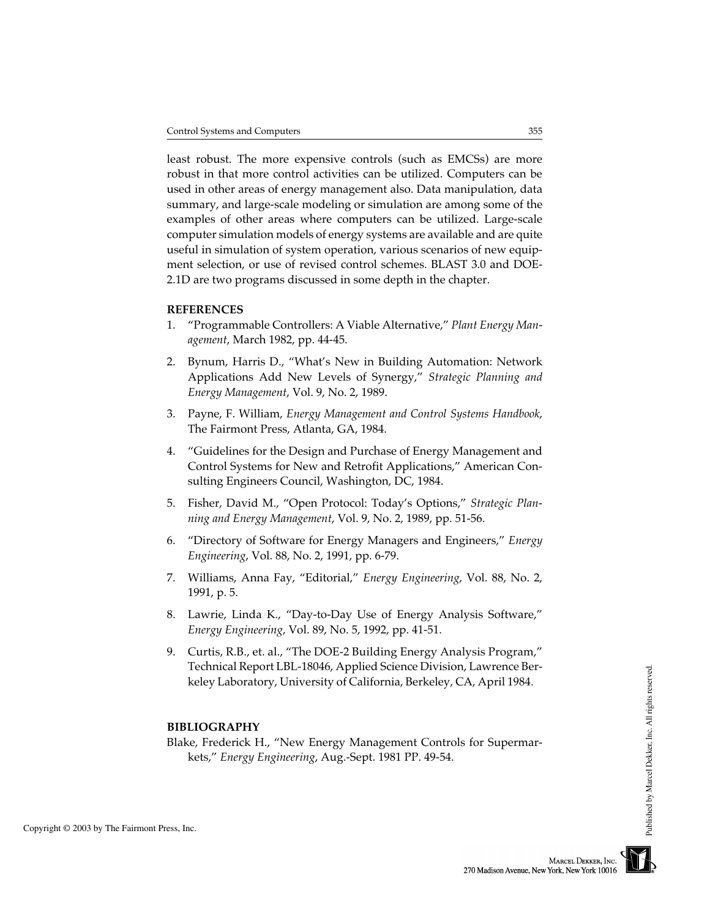least robust. The more expensive controls (such as EMCSs) are more robust in that more control activities can be utilized. Computers can be used in other areas of energy management also. Data manipulation, data summary, and large-scale modeling or simulation are among some of the examples of other areas where computers can be utilized. Large-scale computer simulation models of energy systems are available and are quite useful in simulation of system operation, various scenarios of new equipment selection, or use of revised control schemes. BLAST 3.0 and DOE-2.1D are two programs discussed in some depth in the chapter.

## **REFERENCES**

- 1. "Programmable Controllers: A Viable Alternative," *Plant Energy Management*, March 1982, pp. 44-45.
- 2. Bynum, Harris D., "What's New in Building Automation: Network Applications Add New Levels of Synergy," *Strategic Planning and Energy Management*, Vol. 9, No. 2, 1989.
- 3. Payne, F. William, *Energy Management and Control Systems Handbook*, The Fairmont Press, Atlanta, GA, 1984.
- 4. "Guidelines for the Design and Purchase of Energy Management and Control Systems for New and Retrofit Applications," American Consulting Engineers Council, Washington, DC, 1984.
- 5. Fisher, David M., "Open Protocol: Today's Options," *Strategic Planning and Energy Management*, Vol. 9, No. 2, 1989, pp. 51-56.
- 6. "Directory of Software for Energy Managers and Engineers," *Energy Engineering*, Vol. 88, No. 2, 1991, pp. 6-79.
- 7. Williams, Anna Fay, "Editorial," *Energy Engineering*, Vol. 88, No. 2, 1991, p. 5.
- 8. Lawrie, Linda K., "Day-to-Day Use of Energy Analysis Software," *Energy Engineering*, Vol. 89, No. 5, 1992, pp. 41-51.
- 9. Curtis, R.B., et. al., "The DOE-2 Building Energy Analysis Program," Technical Report LBL-18046, Applied Science Division, Lawrence Berkeley Laboratory, University of California, Berkeley, CA, April 1984.

## **BIBLIOGRAPHY**

Blake, Frederick H., "New Energy Management Controls for Supermarkets," *Energy Engineering*, Aug.-Sept. 1981 PP. 49-54.